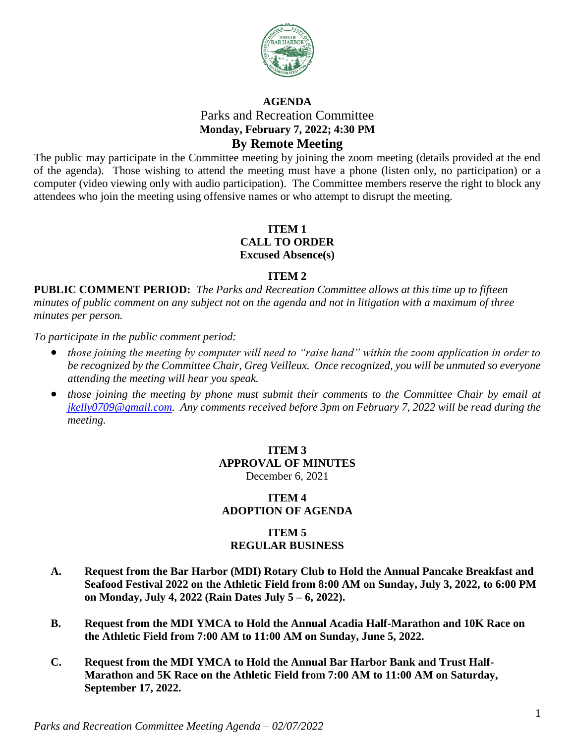

# **AGENDA** Parks and Recreation Committee **Monday, February 7, 2022; 4:30 PM By Remote Meeting**

The public may participate in the Committee meeting by joining the zoom meeting (details provided at the end of the agenda). Those wishing to attend the meeting must have a phone (listen only, no participation) or a computer (video viewing only with audio participation). The Committee members reserve the right to block any attendees who join the meeting using offensive names or who attempt to disrupt the meeting.

## **ITEM 1 CALL TO ORDER Excused Absence(s)**

### **ITEM 2**

**PUBLIC COMMENT PERIOD:** *The Parks and Recreation Committee allows at this time up to fifteen minutes of public comment on any subject not on the agenda and not in litigation with a maximum of three minutes per person.*

*To participate in the public comment period:*

- *those joining the meeting by computer will need to "raise hand" within the zoom application in order to be recognized by the Committee Chair, Greg Veilleux. Once recognized, you will be unmuted so everyone attending the meeting will hear you speak.*
- *those joining the meeting by phone must submit their comments to the Committee Chair by email at [jkelly0709@gmail.com.](mailto:jkelly0709@gmail.com) Any comments received before 3pm on February 7, 2022 will be read during the meeting.*

# **ITEM 3 APPROVAL OF MINUTES** December 6, 2021

### **ITEM 4 ADOPTION OF AGENDA**

### **ITEM 5 REGULAR BUSINESS**

- **A. Request from the Bar Harbor (MDI) Rotary Club to Hold the Annual Pancake Breakfast and Seafood Festival 2022 on the Athletic Field from 8:00 AM on Sunday, July 3, 2022, to 6:00 PM on Monday, July 4, 2022 (Rain Dates July 5 – 6, 2022).**
- **B. Request from the MDI YMCA to Hold the Annual Acadia Half-Marathon and 10K Race on the Athletic Field from 7:00 AM to 11:00 AM on Sunday, June 5, 2022.**
- **C. Request from the MDI YMCA to Hold the Annual Bar Harbor Bank and Trust Half-Marathon and 5K Race on the Athletic Field from 7:00 AM to 11:00 AM on Saturday, September 17, 2022.**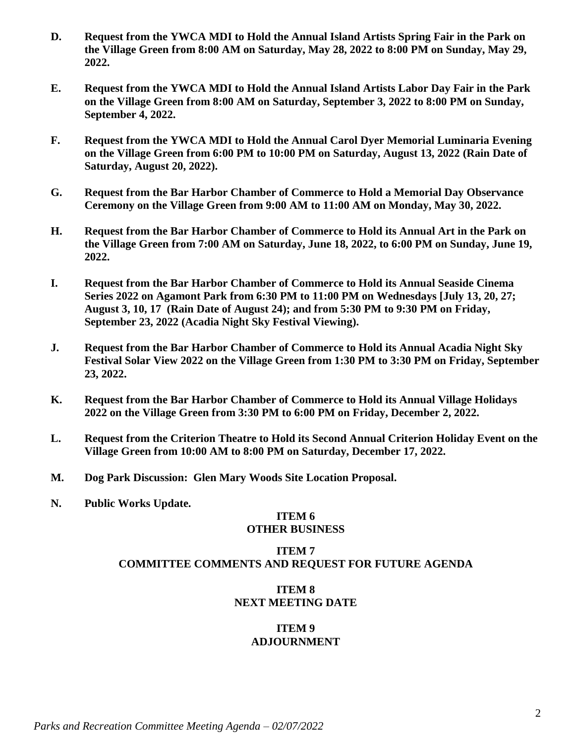- **D. Request from the YWCA MDI to Hold the Annual Island Artists Spring Fair in the Park on the Village Green from 8:00 AM on Saturday, May 28, 2022 to 8:00 PM on Sunday, May 29, 2022.**
- **E. Request from the YWCA MDI to Hold the Annual Island Artists Labor Day Fair in the Park on the Village Green from 8:00 AM on Saturday, September 3, 2022 to 8:00 PM on Sunday, September 4, 2022.**
- **F. Request from the YWCA MDI to Hold the Annual Carol Dyer Memorial Luminaria Evening on the Village Green from 6:00 PM to 10:00 PM on Saturday, August 13, 2022 (Rain Date of Saturday, August 20, 2022).**
- **G. Request from the Bar Harbor Chamber of Commerce to Hold a Memorial Day Observance Ceremony on the Village Green from 9:00 AM to 11:00 AM on Monday, May 30, 2022.**
- **H. Request from the Bar Harbor Chamber of Commerce to Hold its Annual Art in the Park on the Village Green from 7:00 AM on Saturday, June 18, 2022, to 6:00 PM on Sunday, June 19, 2022.**
- **I. Request from the Bar Harbor Chamber of Commerce to Hold its Annual Seaside Cinema Series 2022 on Agamont Park from 6:30 PM to 11:00 PM on Wednesdays [July 13, 20, 27; August 3, 10, 17 (Rain Date of August 24); and from 5:30 PM to 9:30 PM on Friday, September 23, 2022 (Acadia Night Sky Festival Viewing).**
- **J. Request from the Bar Harbor Chamber of Commerce to Hold its Annual Acadia Night Sky Festival Solar View 2022 on the Village Green from 1:30 PM to 3:30 PM on Friday, September 23, 2022.**
- **K. Request from the Bar Harbor Chamber of Commerce to Hold its Annual Village Holidays 2022 on the Village Green from 3:30 PM to 6:00 PM on Friday, December 2, 2022.**
- **L. Request from the Criterion Theatre to Hold its Second Annual Criterion Holiday Event on the Village Green from 10:00 AM to 8:00 PM on Saturday, December 17, 2022.**
- **M. Dog Park Discussion: Glen Mary Woods Site Location Proposal.**
- **N. Public Works Update.**

#### **ITEM 6 OTHER BUSINESS**

# **ITEM 7 COMMITTEE COMMENTS AND REQUEST FOR FUTURE AGENDA**

# **ITEM 8 NEXT MEETING DATE**

### **ITEM 9 ADJOURNMENT**